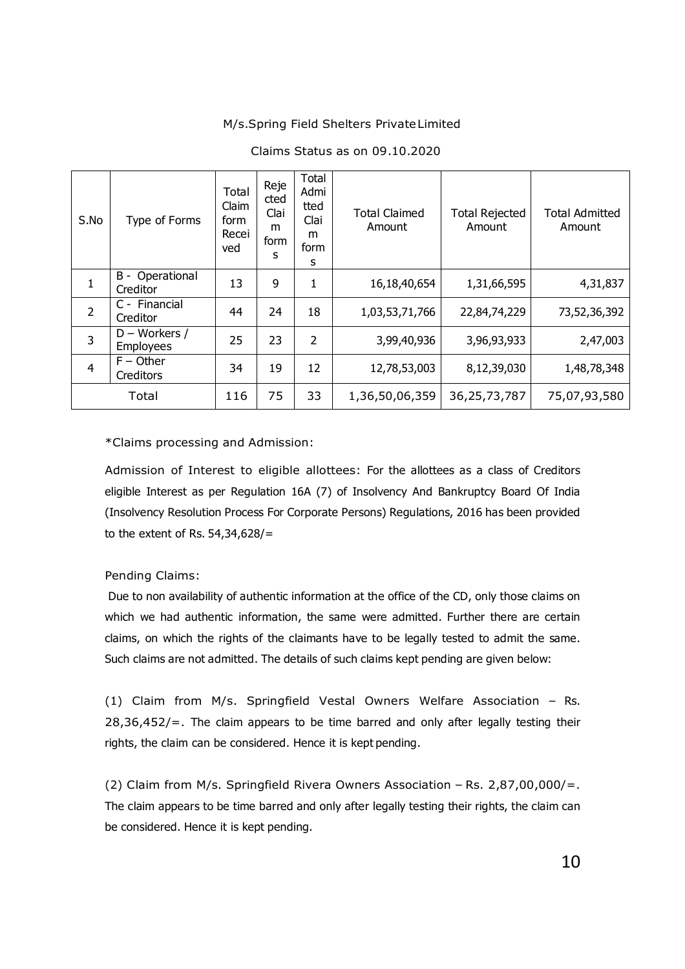## M/s.Spring Field Shelters Private Limited

| S.No           | Type of Forms                       | Total<br>Claim<br>form<br>Recei<br>ved | Reje<br>cted<br>Clai<br>m<br>form<br>S | Total<br>Admi<br>tted<br>Clai<br>m<br>form<br>S | <b>Total Claimed</b><br>Amount | <b>Total Rejected</b><br>Amount | <b>Total Admitted</b><br>Amount |
|----------------|-------------------------------------|----------------------------------------|----------------------------------------|-------------------------------------------------|--------------------------------|---------------------------------|---------------------------------|
| $\mathbf{1}$   | B -<br>Operational<br>Creditor      | 13                                     | 9                                      | $\mathbf{1}$                                    | 16,18,40,654                   | 1,31,66,595                     | 4,31,837                        |
| $\overline{2}$ | C - Financial<br>Creditor           | 44                                     | 24                                     | 18                                              | 1,03,53,71,766                 | 22,84,74,229                    | 73,52,36,392                    |
| 3              | $D - Workers /$<br><b>Employees</b> | 25                                     | 23                                     | $\overline{2}$                                  | 3,99,40,936                    | 3,96,93,933                     | 2,47,003                        |
| $\overline{4}$ | $F -$ Other<br>Creditors            | 34                                     | 19                                     | 12                                              | 12,78,53,003                   | 8,12,39,030                     | 1,48,78,348                     |
| Total          |                                     | 116                                    | 75                                     | 33                                              | 1,36,50,06,359                 | 36, 25, 73, 787                 | 75,07,93,580                    |

## Claims Status as on 09.10.2020

\*Claims processing and Admission:

Admission of Interest to eligible allottees: For the allottees as a class of Creditors eligible Interest as per Regulation 16A (7) of Insolvency And Bankruptcy Board Of India (Insolvency Resolution Process For Corporate Persons) Regulations, 2016 has been provided to the extent of Rs. 54,34,628/=

Pending Claims:

Due to non availability of authentic information at the office of the CD, only those claims on which we had authentic information, the same were admitted. Further there are certain claims, on which the rights of the claimants have to be legally tested to admit the same. Such claims are not admitted. The details of such claims kept pending are given below:

(1) Claim from M/s. Springfield Vestal Owners Welfare Association – Rs. 28,36,452/=. The claim appears to be time barred and only after legally testing their rights, the claim can be considered. Hence it is kept pending.

(2) Claim from M/s. Springfield Rivera Owners Association – Rs. 2,87,00,000/=. The claim appears to be time barred and only after legally testing their rights, the claim can be considered. Hence it is kept pending.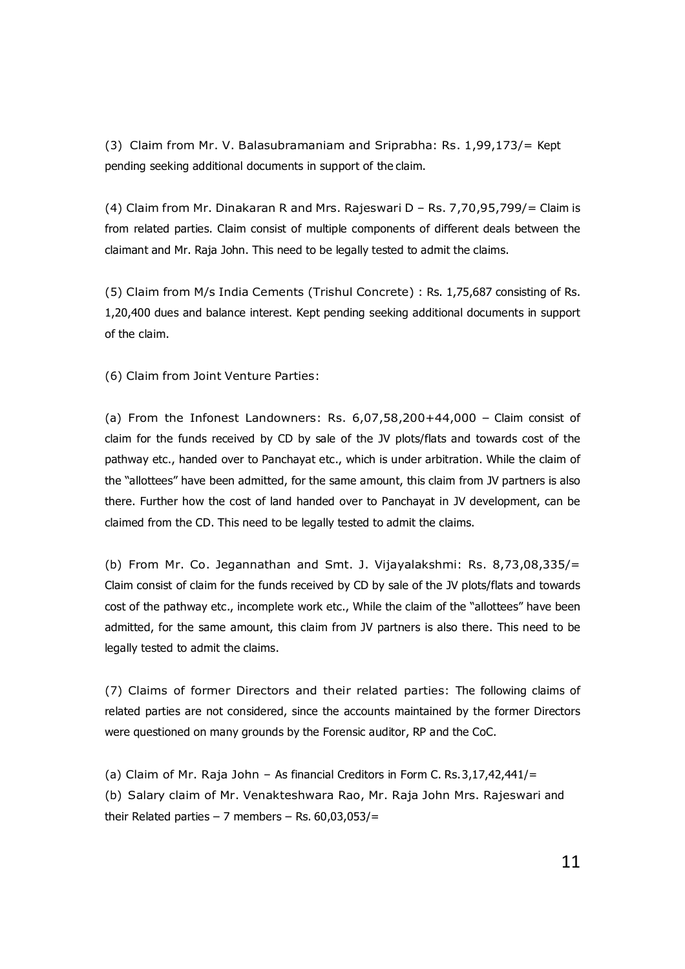(3) Claim from Mr. V. Balasubramaniam and Sriprabha: Rs. 1,99,173/= Kept pending seeking additional documents in support of the claim.

(4) Claim from Mr. Dinakaran R and Mrs. Rajeswari D – Rs. 7,70,95,799/= Claim is from related parties. Claim consist of multiple components of different deals between the claimant and Mr. Raja John. This need to be legally tested to admit the claims.

(5) Claim from M/s India Cements (Trishul Concrete) : Rs. 1,75,687 consisting of Rs. 1,20,400 dues and balance interest. Kept pending seeking additional documents in support of the claim.

(6) Claim from Joint Venture Parties:

(a) From the Infonest Landowners: Rs.  $6.07,58,200+44,000$  - Claim consist of claim for the funds received by CD by sale of the JV plots/flats and towards cost of the pathway etc., handed over to Panchayat etc., which is under arbitration. While the claim of the "allottees" have been admitted, for the same amount, this claim from JV partners is also there. Further how the cost of land handed over to Panchayat in JV development, can be claimed from the CD. This need to be legally tested to admit the claims.

(b) From Mr. Co. Jegannathan and Smt. J. Vijayalakshmi: Rs. 8,73,08,335/= Claim consist of claim for the funds received by CD by sale of the JV plots/flats and towards cost of the pathway etc., incomplete work etc., While the claim of the "allottees" have been admitted, for the same amount, this claim from JV partners is also there. This need to be legally tested to admit the claims.

(7) Claims of former Directors and their related parties: The following claims of related parties are not considered, since the accounts maintained by the former Directors were questioned on many grounds by the Forensic auditor, RP and the CoC.

(a) Claim of Mr. Raja John – As financial Creditors in Form C. Rs. 3,17,42,441/= (b) Salary claim of Mr. Venakteshwara Rao, Mr. Raja John Mrs. Rajeswari and their Related parties  $-7$  members  $-$  Rs. 60,03,053/ $=$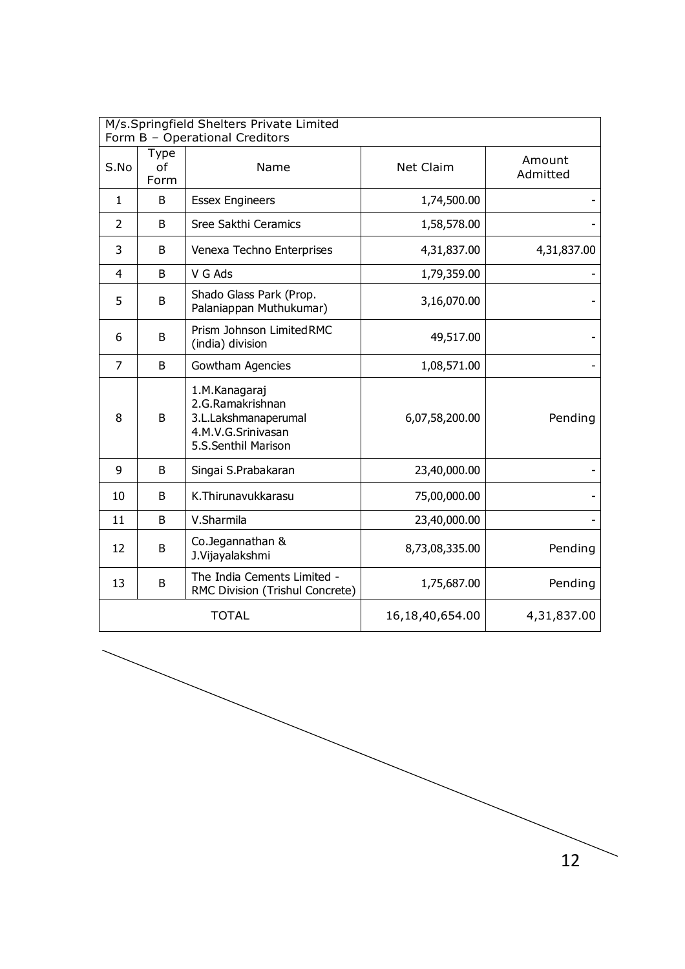| M/s.Springfield Shelters Private Limited<br>Form B - Operational Creditors |                    |                                                                                                        |                     |                    |  |
|----------------------------------------------------------------------------|--------------------|--------------------------------------------------------------------------------------------------------|---------------------|--------------------|--|
| S.No                                                                       | Type<br>of<br>Form | Name                                                                                                   | <b>Net Claim</b>    | Amount<br>Admitted |  |
| $\mathbf{1}$                                                               | B                  | <b>Essex Engineers</b>                                                                                 | 1,74,500.00         |                    |  |
| 2                                                                          | B                  | Sree Sakthi Ceramics                                                                                   | 1,58,578.00         |                    |  |
| 3                                                                          | B                  | Venexa Techno Enterprises                                                                              | 4,31,837.00         | 4,31,837.00        |  |
| 4                                                                          | B                  | V G Ads                                                                                                | 1,79,359.00         |                    |  |
| 5                                                                          | B                  | Shado Glass Park (Prop.<br>Palaniappan Muthukumar)                                                     | 3,16,070.00         |                    |  |
| 6                                                                          | B                  | Prism Johnson Limited RMC<br>(india) division                                                          | 49,517.00           |                    |  |
| $\overline{7}$                                                             | B                  | Gowtham Agencies                                                                                       | 1,08,571.00         |                    |  |
| 8                                                                          | B                  | 1.M.Kanagaraj<br>2.G.Ramakrishnan<br>3.L.Lakshmanaperumal<br>4.M.V.G.Srinivasan<br>5.S.Senthil Marison | 6,07,58,200.00      | Pending            |  |
| 9                                                                          | B                  | Singai S.Prabakaran                                                                                    | 23,40,000.00        |                    |  |
| 10                                                                         | B                  | K.Thirunavukkarasu                                                                                     | 75,00,000.00        |                    |  |
| 11                                                                         | B                  | V.Sharmila                                                                                             | 23,40,000.00        |                    |  |
| 12                                                                         | B                  | Co.Jegannathan &<br>J.Vijayalakshmi                                                                    | 8,73,08,335.00      | Pending            |  |
| 13                                                                         | B                  | The India Cements Limited -<br>RMC Division (Trishul Concrete)                                         | 1,75,687.00         | Pending            |  |
|                                                                            |                    | <b>TOTAL</b>                                                                                           | 16, 18, 40, 654. 00 | 4,31,837.00        |  |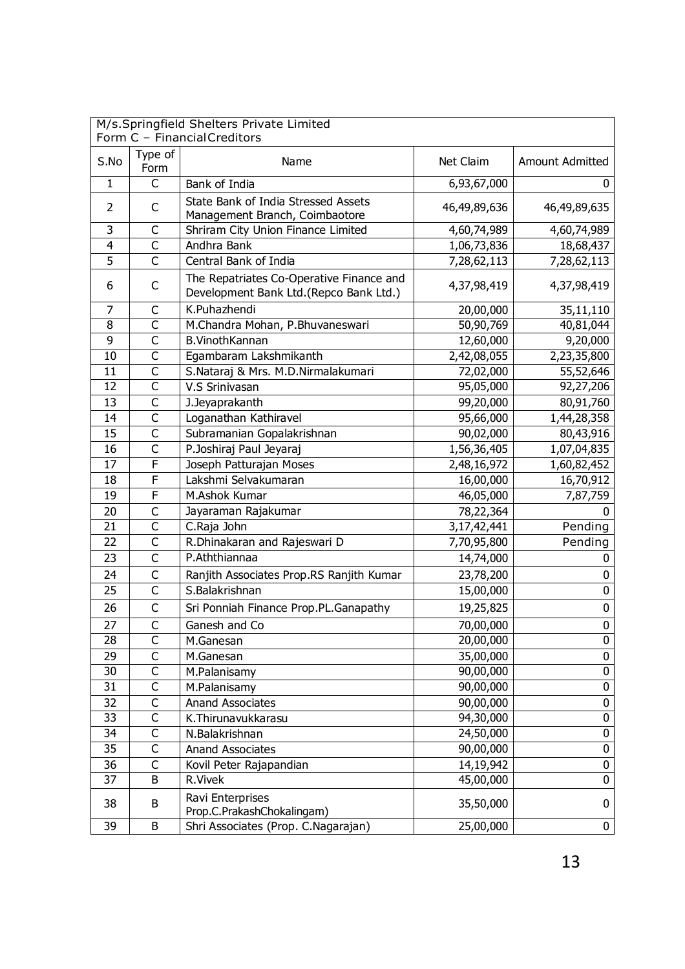| M/s.Springfield Shelters Private Limited<br>Form C - Financial Creditors |                         |                                                                                    |              |                        |  |  |
|--------------------------------------------------------------------------|-------------------------|------------------------------------------------------------------------------------|--------------|------------------------|--|--|
| S.No                                                                     | Type of<br>Form         | Name                                                                               | Net Claim    | <b>Amount Admitted</b> |  |  |
| $\mathbf 1$                                                              | $\overline{\mathsf{C}}$ | Bank of India                                                                      | 6,93,67,000  | $\mathbf{0}$           |  |  |
| 2                                                                        | C                       | State Bank of India Stressed Assets<br>Management Branch, Coimbaotore              | 46,49,89,636 | 46,49,89,635           |  |  |
| $\overline{\mathbf{3}}$                                                  | C                       | Shriram City Union Finance Limited                                                 | 4,60,74,989  | 4,60,74,989            |  |  |
| $\overline{4}$                                                           | $\mathsf{C}$            | Andhra Bank                                                                        | 1,06,73,836  | 18,68,437              |  |  |
| 5                                                                        | C                       | Central Bank of India                                                              | 7,28,62,113  | 7,28,62,113            |  |  |
| 6                                                                        | C                       | The Repatriates Co-Operative Finance and<br>Development Bank Ltd.(Repco Bank Ltd.) | 4,37,98,419  | 4,37,98,419            |  |  |
| $\overline{7}$                                                           | $\mathsf C$             | K.Puhazhendi                                                                       | 20,00,000    | 35,11,110              |  |  |
| 8                                                                        | C                       | M.Chandra Mohan, P.Bhuvaneswari                                                    | 50,90,769    | 40,81,044              |  |  |
| 9                                                                        | $\overline{\mathsf{C}}$ | <b>B.VinothKannan</b>                                                              | 12,60,000    | 9,20,000               |  |  |
| 10                                                                       | $\mathsf{C}$            | Egambaram Lakshmikanth                                                             | 2,42,08,055  | 2,23,35,800            |  |  |
| 11                                                                       | C                       | S.Nataraj & Mrs. M.D.Nirmalakumari                                                 | 72,02,000    | 55,52,646              |  |  |
| 12                                                                       | $\overline{\mathsf{C}}$ | V.S Srinivasan                                                                     | 95,05,000    | 92,27,206              |  |  |
| 13                                                                       | C                       | J.Jeyaprakanth                                                                     | 99,20,000    | 80,91,760              |  |  |
| 14                                                                       | $\mathsf{C}$            | Loganathan Kathiravel                                                              | 95,66,000    | 1,44,28,358            |  |  |
| 15                                                                       | $\mathsf C$             | Subramanian Gopalakrishnan                                                         | 90,02,000    | 80,43,916              |  |  |
| 16                                                                       | $\overline{\mathsf{C}}$ | P.Joshiraj Paul Jeyaraj                                                            | 1,56,36,405  | 1,07,04,835            |  |  |
| 17                                                                       | F                       | Joseph Patturajan Moses                                                            | 2,48,16,972  | 1,60,82,452            |  |  |
| 18                                                                       | F                       | Lakshmi Selvakumaran                                                               | 16,00,000    | 16,70,912              |  |  |
| 19                                                                       | F                       | M.Ashok Kumar                                                                      | 46,05,000    | 7,87,759               |  |  |
| 20                                                                       | C                       | Jayaraman Rajakumar                                                                | 78,22,364    | 0                      |  |  |
| 21                                                                       | $\overline{\mathsf{C}}$ | C.Raja John                                                                        | 3,17,42,441  | Pending                |  |  |
| 22                                                                       | $\mathsf{C}$            | R.Dhinakaran and Rajeswari D                                                       | 7,70,95,800  | Pending                |  |  |
| 23                                                                       | $\mathsf{C}$            | P.Aththiannaa                                                                      | 14,74,000    | 0                      |  |  |
| 24                                                                       | C                       | Ranjith Associates Prop.RS Ranjith Kumar                                           | 23,78,200    | 0                      |  |  |
| 25                                                                       | C                       | S.Balakrishnan                                                                     | 15,00,000    | 0                      |  |  |
| 26                                                                       | $\mathsf{C}$            | Sri Ponniah Finance Prop.PL.Ganapathy                                              | 19,25,825    | 0                      |  |  |
| 27                                                                       | C                       | Ganesh and Co                                                                      | 70,00,000    | $\mathbf 0$            |  |  |
| 28                                                                       | С                       | M.Ganesan                                                                          | 20,00,000    | 0                      |  |  |
| 29                                                                       | C                       | M.Ganesan                                                                          | 35,00,000    | $\mathbf 0$            |  |  |
| 30                                                                       | C                       | M.Palanisamy                                                                       | 90,00,000    | $\pmb{0}$              |  |  |
| 31                                                                       | C                       | M.Palanisamy                                                                       | 90,00,000    | $\pmb{0}$              |  |  |
| 32                                                                       | С                       | Anand Associates                                                                   | 90,00,000    | 0                      |  |  |
| $\overline{33}$                                                          | $\overline{\mathsf{C}}$ | K.Thirunavukkarasu                                                                 | 94,30,000    | $\overline{0}$         |  |  |
| 34                                                                       | C                       | N.Balakrishnan                                                                     | 24,50,000    | $\pmb{0}$              |  |  |
| 35                                                                       | $\overline{\mathsf{C}}$ | Anand Associates                                                                   | 90,00,000    | $\pmb{0}$              |  |  |
| 36                                                                       | C                       | Kovil Peter Rajapandian                                                            | 14,19,942    | $\pmb{0}$              |  |  |
| 37                                                                       | B                       | R.Vivek                                                                            | 45,00,000    | 0                      |  |  |
| 38                                                                       | B                       | Ravi Enterprises<br>Prop.C.PrakashChokalingam)                                     | 35,50,000    | 0                      |  |  |
| 39                                                                       | B                       | Shri Associates (Prop. C.Nagarajan)                                                | 25,00,000    | $\mathbf 0$            |  |  |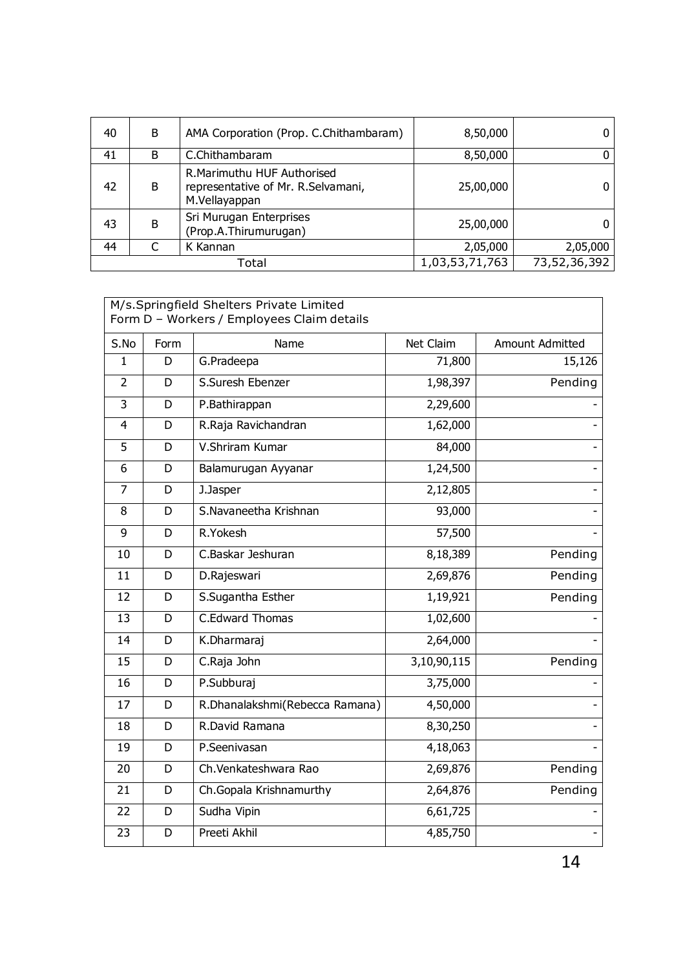| 40 | B | AMA Corporation (Prop. C.Chithambaram)                                             | 8,50,000       | 0            |
|----|---|------------------------------------------------------------------------------------|----------------|--------------|
| 41 | B | C.Chithambaram                                                                     | 8,50,000       | 0            |
| 42 | B | R. Marimuthu HUF Authorised<br>representative of Mr. R.Selvamani,<br>M.Vellayappan | 25,00,000      | 0            |
| 43 | B | Sri Murugan Enterprises<br>(Prop.A.Thirumurugan)                                   | 25,00,000      |              |
| 44 |   | K Kannan                                                                           | 2,05,000       | 2,05,000     |
|    |   | Total                                                                              | 1,03,53,71,763 | 73,52,36,392 |

| M/s.Springfield Shelters Private Limited<br>Form D - Workers / Employees Claim details |      |                                |             |                        |  |  |
|----------------------------------------------------------------------------------------|------|--------------------------------|-------------|------------------------|--|--|
| S.No                                                                                   | Form | Name                           | Net Claim   | <b>Amount Admitted</b> |  |  |
| $\mathbf{1}$                                                                           | D    | G.Pradeepa                     | 71,800      | 15,126                 |  |  |
| $\overline{2}$                                                                         | D    | S.Suresh Ebenzer               | 1,98,397    | Pending                |  |  |
| 3                                                                                      | D    | P.Bathirappan                  | 2,29,600    |                        |  |  |
| 4                                                                                      | D    | R.Raja Ravichandran            | 1,62,000    |                        |  |  |
| 5                                                                                      | D    | V.Shriram Kumar                | 84,000      |                        |  |  |
| 6                                                                                      | D    | Balamurugan Ayyanar            | 1,24,500    |                        |  |  |
| 7                                                                                      | D    | J.Jasper                       | 2,12,805    |                        |  |  |
| 8                                                                                      | D    | S.Navaneetha Krishnan          | 93,000      |                        |  |  |
| 9                                                                                      | D    | R.Yokesh                       | 57,500      |                        |  |  |
| 10                                                                                     | D    | C.Baskar Jeshuran              | 8,18,389    | Pending                |  |  |
| 11                                                                                     | D    | D.Rajeswari                    | 2,69,876    | Pending                |  |  |
| 12                                                                                     | D    | S.Sugantha Esther              | 1,19,921    | Pending                |  |  |
| 13                                                                                     | D    | C.Edward Thomas                | 1,02,600    |                        |  |  |
| 14                                                                                     | D    | K.Dharmaraj                    | 2,64,000    |                        |  |  |
| 15                                                                                     | D    | C.Raja John                    | 3,10,90,115 | Pending                |  |  |
| 16                                                                                     | D    | P.Subburaj                     | 3,75,000    |                        |  |  |
| 17                                                                                     | D    | R.Dhanalakshmi(Rebecca Ramana) | 4,50,000    |                        |  |  |
| 18                                                                                     | D    | R.David Ramana                 | 8,30,250    |                        |  |  |
| 19                                                                                     | D    | P.Seenivasan                   | 4,18,063    |                        |  |  |
| 20                                                                                     | D    | Ch. Venkateshwara Rao          | 2,69,876    | Pending                |  |  |
| 21                                                                                     | D    | Ch.Gopala Krishnamurthy        | 2,64,876    | Pending                |  |  |
| 22                                                                                     | D    | Sudha Vipin                    | 6,61,725    |                        |  |  |
| 23                                                                                     | D    | Preeti Akhil                   | 4,85,750    |                        |  |  |